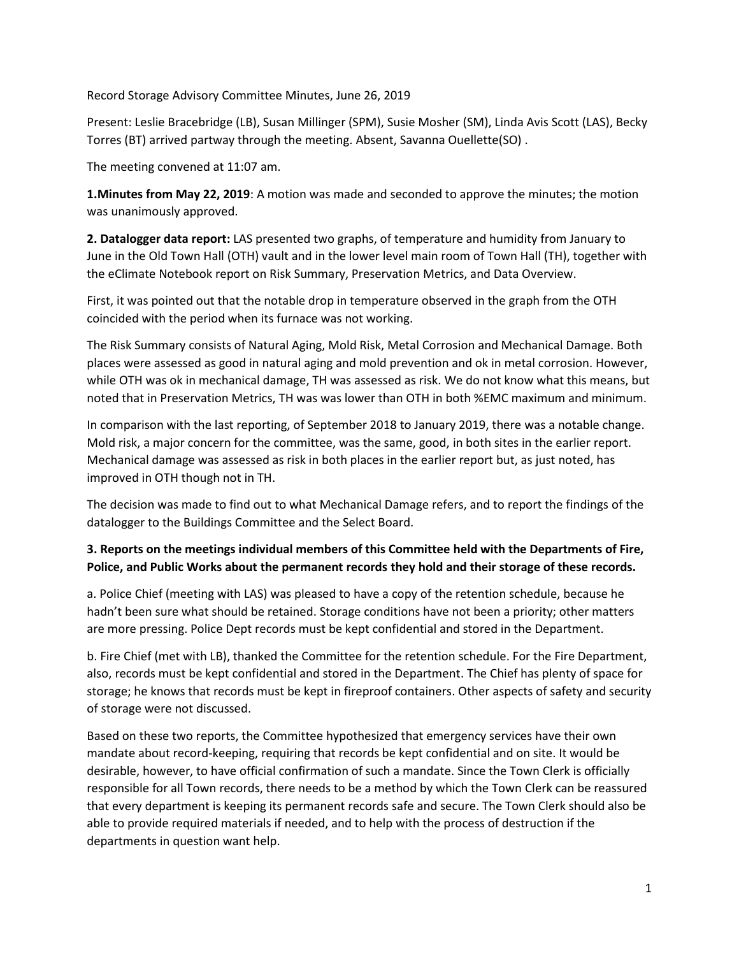Record Storage Advisory Committee Minutes, June 26, 2019

Present: Leslie Bracebridge (LB), Susan Millinger (SPM), Susie Mosher (SM), Linda Avis Scott (LAS), Becky Torres (BT) arrived partway through the meeting. Absent, Savanna Ouellette(SO) .

The meeting convened at 11:07 am.

**1.Minutes from May 22, 2019**: A motion was made and seconded to approve the minutes; the motion was unanimously approved.

**2. Datalogger data report:** LAS presented two graphs, of temperature and humidity from January to June in the Old Town Hall (OTH) vault and in the lower level main room of Town Hall (TH), together with the eClimate Notebook report on Risk Summary, Preservation Metrics, and Data Overview.

First, it was pointed out that the notable drop in temperature observed in the graph from the OTH coincided with the period when its furnace was not working.

The Risk Summary consists of Natural Aging, Mold Risk, Metal Corrosion and Mechanical Damage. Both places were assessed as good in natural aging and mold prevention and ok in metal corrosion. However, while OTH was ok in mechanical damage, TH was assessed as risk. We do not know what this means, but noted that in Preservation Metrics, TH was was lower than OTH in both %EMC maximum and minimum.

In comparison with the last reporting, of September 2018 to January 2019, there was a notable change. Mold risk, a major concern for the committee, was the same, good, in both sites in the earlier report. Mechanical damage was assessed as risk in both places in the earlier report but, as just noted, has improved in OTH though not in TH.

The decision was made to find out to what Mechanical Damage refers, and to report the findings of the datalogger to the Buildings Committee and the Select Board.

## **3. Reports on the meetings individual members of this Committee held with the Departments of Fire, Police, and Public Works about the permanent records they hold and their storage of these records.**

a. Police Chief (meeting with LAS) was pleased to have a copy of the retention schedule, because he hadn't been sure what should be retained. Storage conditions have not been a priority; other matters are more pressing. Police Dept records must be kept confidential and stored in the Department.

b. Fire Chief (met with LB), thanked the Committee for the retention schedule. For the Fire Department, also, records must be kept confidential and stored in the Department. The Chief has plenty of space for storage; he knows that records must be kept in fireproof containers. Other aspects of safety and security of storage were not discussed.

Based on these two reports, the Committee hypothesized that emergency services have their own mandate about record-keeping, requiring that records be kept confidential and on site. It would be desirable, however, to have official confirmation of such a mandate. Since the Town Clerk is officially responsible for all Town records, there needs to be a method by which the Town Clerk can be reassured that every department is keeping its permanent records safe and secure. The Town Clerk should also be able to provide required materials if needed, and to help with the process of destruction if the departments in question want help.